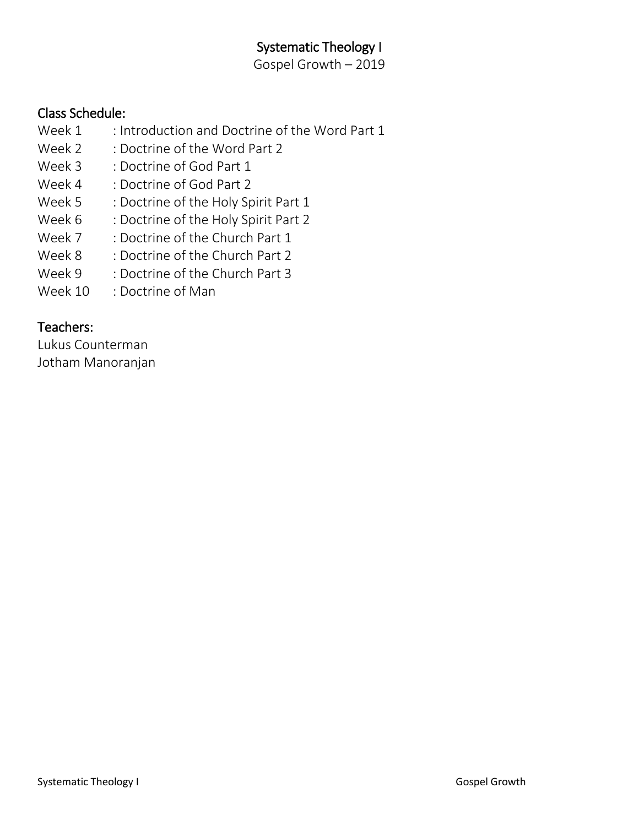## Systematic Theology I

Gospel Growth – 2019

## Class Schedule:

- Week 1 : Introduction and Doctrine of the Word Part 1
- Week 2 : Doctrine of the Word Part 2
- Week 3 : Doctrine of God Part 1
- Week 4 : Doctrine of God Part 2
- Week 5 : Doctrine of the Holy Spirit Part 1
- Week 6 : Doctrine of the Holy Spirit Part 2
- Week 7 : Doctrine of the Church Part 1
- Week 8 : Doctrine of the Church Part 2
- Week 9 : Doctrine of the Church Part 3
- Week 10 : Doctrine of Man

## Teachers:

Lukus Counterman Jotham Manoranjan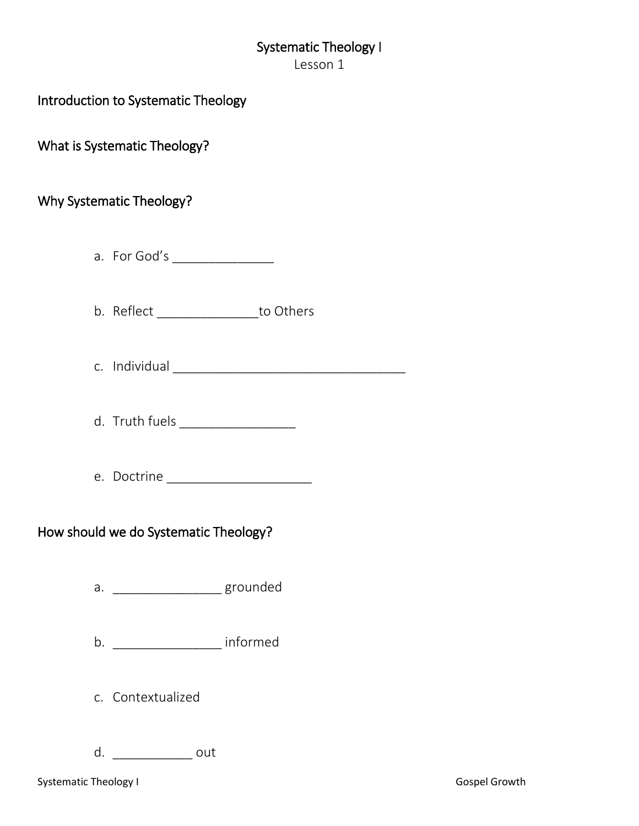# Systematic Theology I

Lesson 1

## Introduction to Systematic Theology

What is Systematic Theology?

## Why Systematic Theology?

- a. For God's \_\_\_\_\_\_\_\_\_\_\_\_\_\_
- b. Reflect \_\_\_\_\_\_\_\_\_\_\_\_\_\_to Others
- c. Individual contract the contract of the contract of the contract of the contract of the contract of the contract of the contract of the contract of the contract of the contract of the contract of the contract of the con
- d. Truth fuels \_\_\_\_\_\_\_\_\_\_\_\_\_\_\_\_
- e. Doctrine **and the set of the set of the set of the set of the set of the set of the set of the set of the set of the set of the set of the set of the set of the set of the set of the set of the set of the set of the set**

### How should we do Systematic Theology?

- a. \_\_\_\_\_\_\_\_\_\_\_\_\_\_\_\_\_\_\_ grounded
- b. \_\_\_\_\_\_\_\_\_\_\_\_\_\_\_ informed
- c. Contextualized
- d. \_\_\_\_\_\_\_\_\_\_\_ out